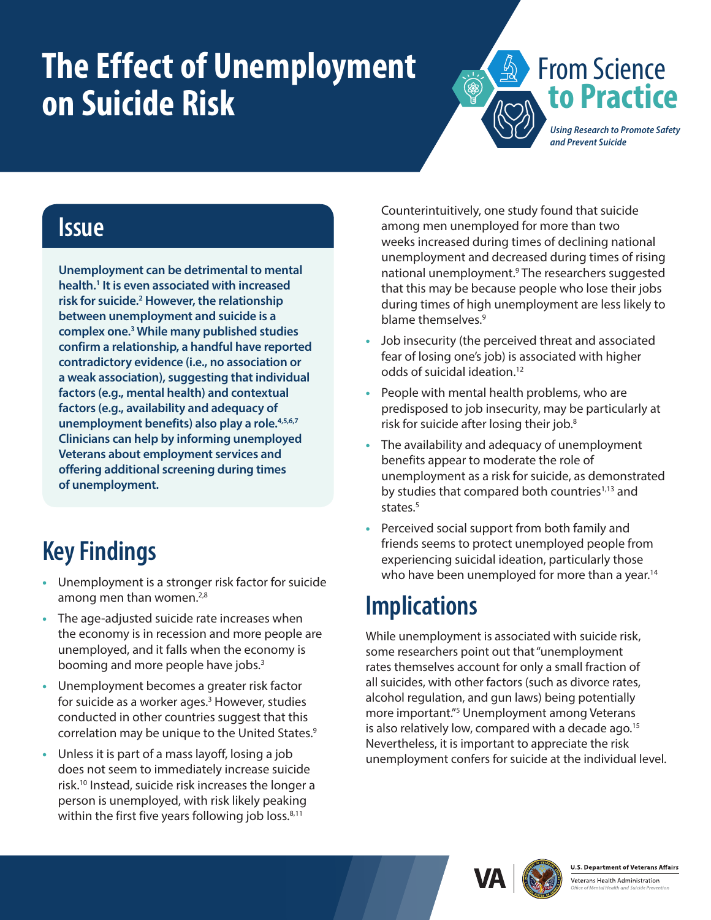# <span id="page-0-0"></span>**The Effect of Unemployment on Suicide Risk**



#### **Issue**

**Unemployment can be detrimental to mental health.[1](#page-1-0) It is even associated with increased risk for suicide[.2](#page-1-0) However, the relationship between unemployment and suicide is a complex one.[3](#page-1-0) While many published studies confirm a relationship, a handful have reported contradictory evidence (i.e., no association or a weak association), suggesting that individual factors (e.g., mental health) and contextual factors (e.g., availability and adequacy of unemployment benefits) also play a role[.4,5,6,7](#page-1-0) Clinicians can help by informing unemployed Veterans about employment services and offering additional screening during times of unemployment.**

## **Key Findings**

- **•** Unemployment is a stronger risk factor for suicide among men than women.<sup>[2](#page-1-1)[,8](#page-1-0)</sup>
- **•** The age-adjusted suicide rate increases when the economy is in recession and more people are unemployed, and it falls when the economy is booming and more people have jobs.<sup>[3](#page-1-2)</sup>
- **•** Unemployment becomes a greater risk factor for suicide as a worker ages.<sup>3</sup> However, studies conducted in other countries suggest that this correlation may be unique to the United States.<sup>[9](#page-1-0)</sup>
- **•** Unless it is part of a mass layoff, losing a job does not seem to immediately increase suicide risk[.10](#page-1-0) Instead, suicide risk increases the longer a person is unemployed, with risk likely peaking within the first five years following job loss. $8,11$  $8,11$

Counterintuitively, one study found that suicide among men unemployed for more than two weeks increased during times of declining national unemployment and decreased during times of rising national unemployment.<sup>[9](#page-1-4)</sup> The researchers suggested that this may be because people who lose their jobs during times of high unemployment are less likely to blame themselves[.9](#page-1-4)

- **•** Job insecurity (the perceived threat and associated fear of losing one's job) is associated with higher odds of suicidal ideation[.12](#page-1-0)
- **•** People with mental health problems, who are predisposed to job insecurity, may be particularly at risk for suicide after losing their job.[8](#page-1-3)
- **•** The availability and adequacy of unemployment benefits appear to moderate the role of unemployment as a risk for suicide, as demonstrated by studies that compared both countries<sup>[1](#page-1-5)[,13](#page-1-0)</sup> and states.<sup>[5](#page-1-6)</sup>
- **•** Perceived social support from both family and friends seems to protect unemployed people from experiencing suicidal ideation, particularly those who have been unemployed for more than a year.<sup>[14](#page-1-0)</sup>

### **Implications**

While unemployment is associated with suicide risk, some researchers point out that "unemployment rates themselves account for only a small fraction of all suicides, with other factors (such as divorce rates, alcohol regulation, and gun laws) being potentially more important."[5](#page-1-6) Unemployment among Veterans is also relatively low, compared with a decade ago.<sup>[15](#page-1-0)</sup> Nevertheless, it is important to appreciate the risk unemployment confers for suicide at the individual level.